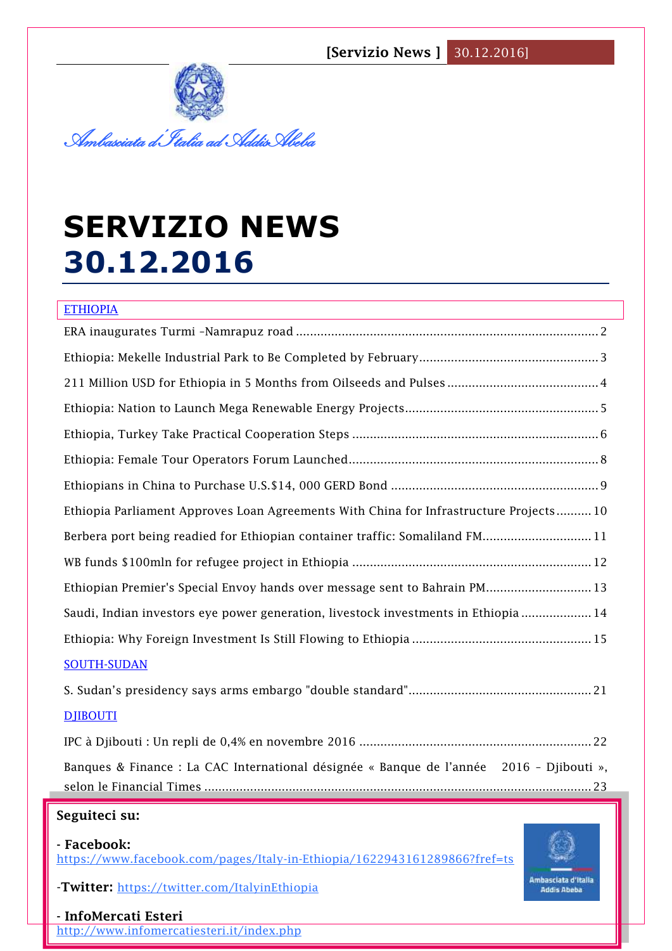

# **SERVIZIO NEWS 30.12.2016**

# ETHIOPIA ERA inaugurates Turmi –Namrapuz road [......................................................................................2](#page-1-0) [Ethiopia: Mekelle Industrial Park to Be Completed by February...................................................3](#page-2-0) [211 Million USD for Ethiopia in 5 Months from Oilseeds and Pulses](#page-3-0) ...........................................4 [Ethiopia: Nation to Launch Mega Renewable Energy Projects.......................................................5](#page-4-0) [Ethiopia, Turkey Take Practical Cooperation Steps](#page-5-0) ......................................................................6 [Ethiopia: Female Tour Operators Forum Launched.......................................................................8](#page-7-0) [Ethiopians in China to Purchase U.S.\\$14, 000 GERD Bond](#page-8-0) ...........................................................9 [Ethiopia Parliament Approves Loan Agreements With China for Infrastructure Projects..........10](#page-9-0) Berbera port being readied for Ethiopian container traffic: Somaliland FM.................................11 [WB funds \\$100mln for refugee project in Ethiopia](#page-11-0) ....................................................................12 [Ethiopian Premier's Special Envoy hands over message sent to Bahrain PM..............................13](#page-12-0) [Saudi, Indian investors eye power generation, livestock investments in Ethiopia](#page-13-0) ....................14 [Ethiopia: Why Foreign Investment Is Still Flowing to Ethiopia](#page-14-0) ...................................................15 SOUTH-SUDAN S. Sudan's presidency says arms embar[go "double standard"....................................................21](#page-20-0) DJIBOUTI [IPC à Djibouti : Un repli de 0,4% en novembre 2016](#page-21-0) ..................................................................22 [Banques & Finance : La CAC International désignée « Banque de l'année 2016 –](#page-22-0) Djibouti », selon le Financial Times [..............................................................................................................23](#page-22-0)

# **Seguiteci su:**

#### **- Facebook:**

<https://www.facebook.com/pages/Italy-in-Ethiopia/1622943161289866?fref=ts>

**1** -**Twitter:** <https://twitter.com/ItalyinEthiopia>



**- InfoMercati Esteri**  <http://www.infomercatiesteri.it/index.php>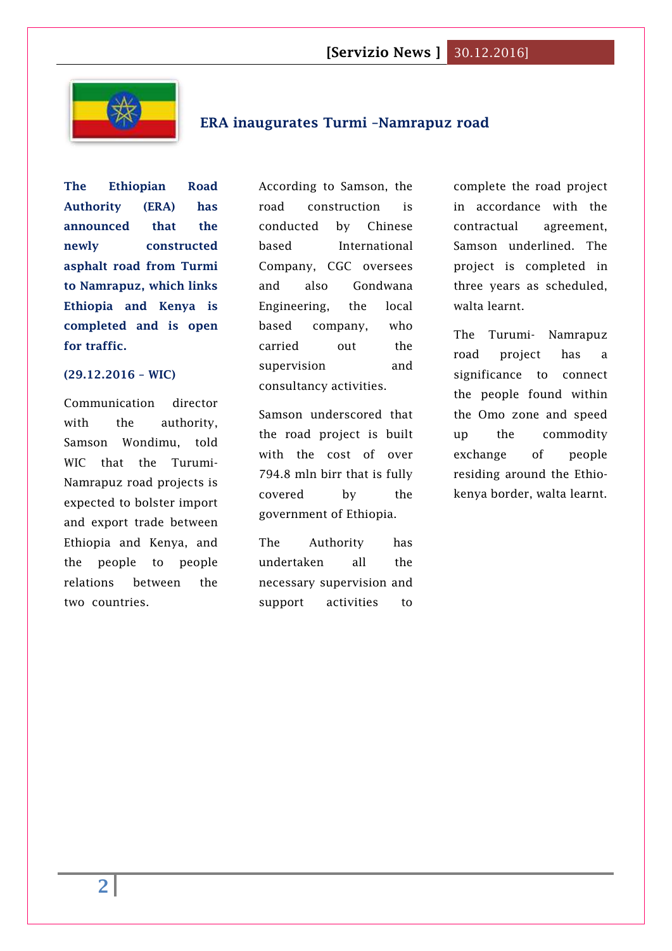

# <span id="page-1-0"></span>**ERA inaugurates Turmi –Namrapuz road**

**The Ethiopian Road Authority (ERA) has announced that the newly constructed asphalt road from Turmi to Namrapuz, which links Ethiopia and Kenya is completed and is open for traffic.**

#### **(29.12.2016 – WIC)**

Communication director with the authority, Samson Wondimu, told WIC that the Turumi-Namrapuz road projects is expected to bolster import and export trade between Ethiopia and Kenya, and the people to people relations between the two countries.

According to Samson, the road construction is conducted by Chinese based International Company, CGC oversees and also Gondwana Engineering, the local based company, who carried out the supervision and consultancy activities.

Samson underscored that the road project is built with the cost of over 794.8 mln birr that is fully covered by the government of Ethiopia.

The Authority has undertaken all the necessary supervision and support activities to

complete the road project in accordance with the contractual agreement, Samson underlined. The project is completed in three years as scheduled, walta learnt.

The Turumi- Namrapuz road project has a significance to connect the people found within the Omo zone and speed up the commodity exchange of people residing around the Ethiokenya border, walta learnt.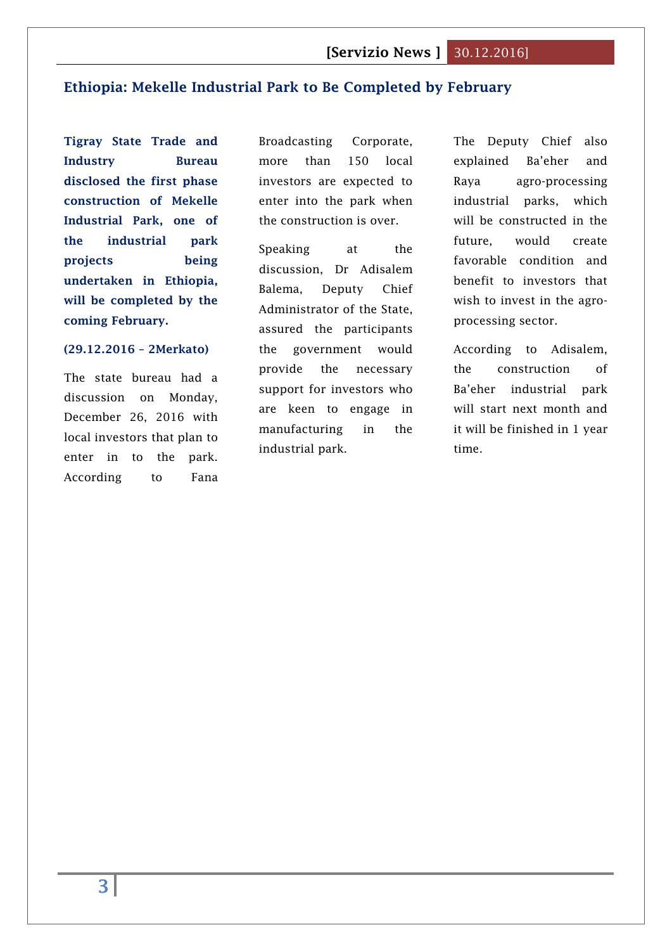# <span id="page-2-0"></span>**[Ethiopia: Mekelle Industrial Park to Be Completed by February](http://www.2merkato.com/news/alerts/4888-ethiopia-mekelle-industrial-park-to-be-completed-by-february)**

**Tigray State Trade and Industry Bureau disclosed the first phase construction of Mekelle Industrial Park, one of the industrial park projects being undertaken in Ethiopia, will be completed by the coming February.**

#### **(29.12.2016 – 2Merkato)**

The state bureau had a discussion on Monday, December 26, 2016 with local investors that plan to enter in to the park. According to Fana

Broadcasting Corporate, more than 150 local investors are expected to enter into the park when the construction is over.

Speaking at the discussion, Dr Adisalem Balema, Deputy Chief Administrator of the State, assured the participants the government would provide the necessary support for investors who are keen to engage in manufacturing in the industrial park.

The Deputy Chief also explained Ba'eher and Raya agro-processing industrial parks, which will be constructed in the future, would create favorable condition and benefit to investors that wish to invest in the agroprocessing sector.

According to Adisalem, the construction of Ba'eher industrial park will start next month and it will be finished in 1 year time.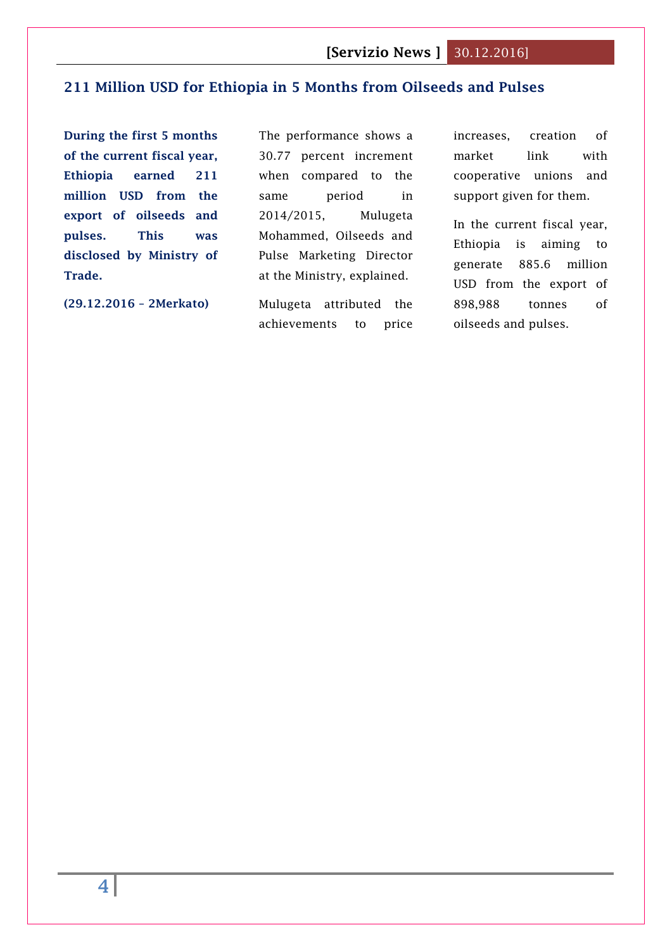# <span id="page-3-0"></span>**[211 Million USD for Ethiopia in 5 Months from Oilseeds and Pulses](http://www.2merkato.com/news/alerts/4890-211-million-usd-for-ethiopia-in-5-months-from-oilseeds-and-pulses)**

**During the first 5 months of the current fiscal year, Ethiopia earned 211 million USD from the export of oilseeds and pulses. This was disclosed by Ministry of Trade.**

**(29.12.2016 – 2Merkato)**

The performance shows a 30.77 percent increment when compared to the same period in 2014/2015, Mulugeta Mohammed, Oilseeds and Pulse Marketing Director at the Ministry, explained.

Mulugeta attributed the achievements to price increases, creation of market link with cooperative unions and support given for them.

In the current fiscal year, Ethiopia is aiming to generate 885.6 million USD from the export of 898,988 tonnes of oilseeds and pulses.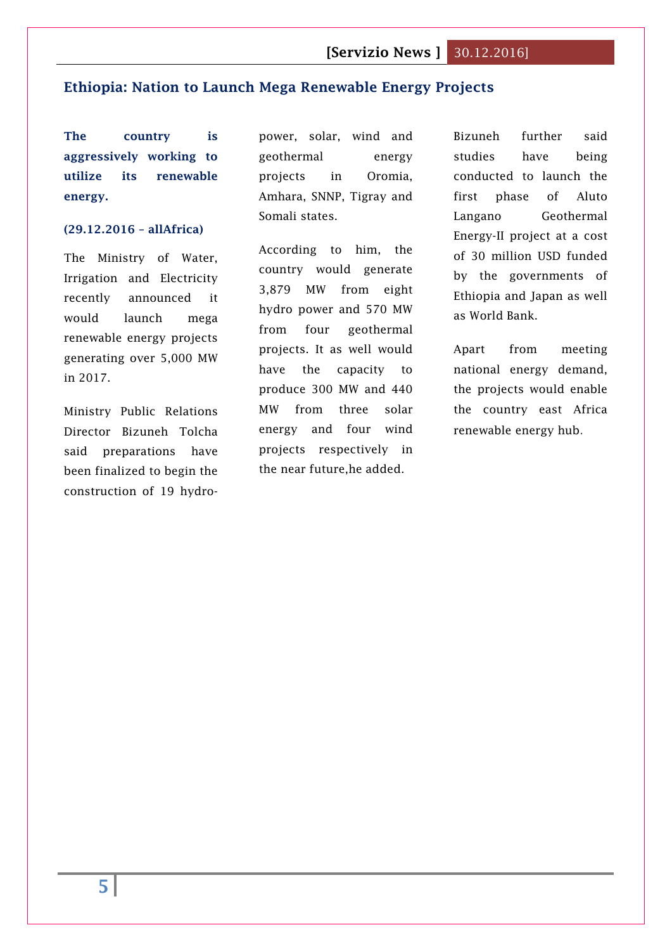### <span id="page-4-0"></span>**Ethiopia: Nation to Launch Mega Renewable Energy Projects**

**The country is aggressively working to utilize its renewable energy.**

### **(29.12.2016 – allAfrica)**

The Ministry of Water, Irrigation and Electricity recently announced it would launch mega renewable energy projects generating over 5,000 MW in 2017.

Ministry Public Relations Director Bizuneh Tolcha said preparations have been finalized to begin the construction of 19 hydropower, solar, wind and geothermal energy projects in Oromia, Amhara, SNNP, Tigray and Somali states.

According to him, the country would generate 3,879 MW from eight hydro power and 570 MW from four geothermal projects. It as well would have the capacity to produce 300 MW and 440 MW from three solar energy and four wind projects respectively in the near future,he added.

Bizuneh further said studies have being conducted to launch the first phase of Aluto Langano Geothermal Energy-II project at a cost of 30 million USD funded by the governments of Ethiopia and Japan as well as World Bank.

Apart from meeting national energy demand, the projects would enable the country east Africa renewable energy hub.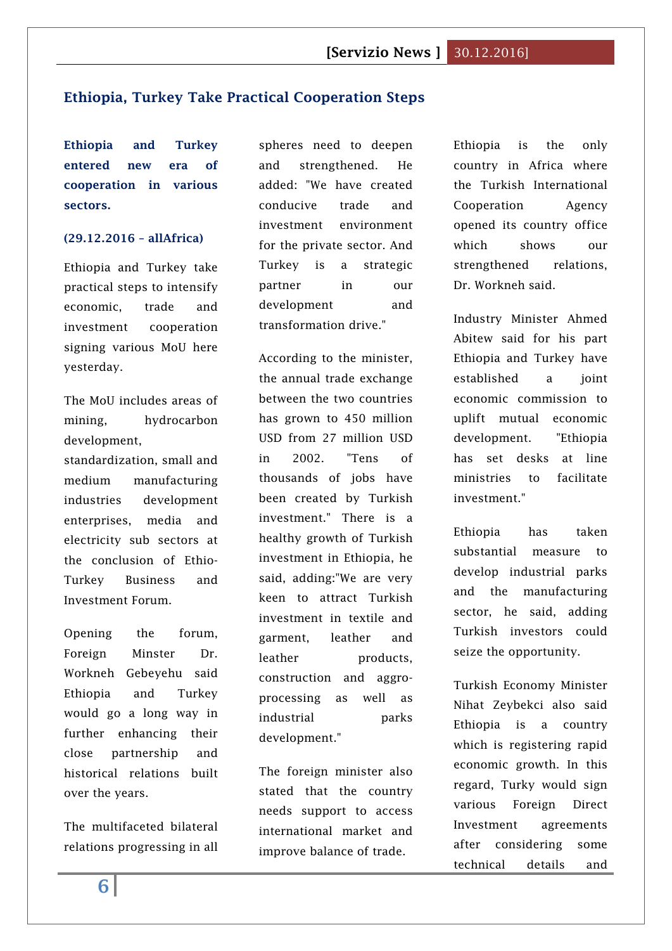# <span id="page-5-0"></span>**Ethiopia, Turkey Take Practical Cooperation Steps**

**Ethiopia and Turkey entered new era of cooperation in various sectors.**

#### **(29.12.2016 – allAfrica)**

Ethiopia and Turkey take practical steps to intensify economic, trade and investment cooperation signing various MoU here yesterday.

The MoU includes areas of mining, hydrocarbon development, standardization, small and medium manufacturing

industries development enterprises, media and electricity sub sectors at the conclusion of Ethio-Turkey Business and Investment Forum.

Opening the forum, Foreign Minster Dr. Workneh Gebeyehu said Ethiopia and Turkey would go a long way in further enhancing their close partnership and historical relations built over the years.

The multifaceted bilateral relations progressing in all spheres need to deepen and strengthened. He added: "We have created conducive trade and investment environment for the private sector. And Turkey is a strategic partner in our development and transformation drive."

According to the minister, the annual trade exchange between the two countries has grown to 450 million USD from 27 million USD in 2002. "Tens of thousands of jobs have been created by Turkish investment." There is a healthy growth of Turkish investment in Ethiopia, he said, adding:"We are very keen to attract Turkish investment in textile and garment, leather and leather products, construction and aggroprocessing as well as industrial parks development."

The foreign minister also stated that the country needs support to access international market and improve balance of trade.

Ethiopia is the only country in Africa where the Turkish International Cooperation Agency opened its country office which shows our strengthened relations, Dr. Workneh said.

Industry Minister Ahmed Abitew said for his part Ethiopia and Turkey have established a joint economic commission to uplift mutual economic development. "Ethiopia has set desks at line ministries to facilitate investment."

Ethiopia has taken substantial measure to develop industrial parks and the manufacturing sector, he said, adding Turkish investors could seize the opportunity.

Turkish Economy Minister Nihat Zeybekci also said Ethiopia is a country which is registering rapid economic growth. In this regard, Turky would sign various Foreign Direct Investment agreements after considering some technical details and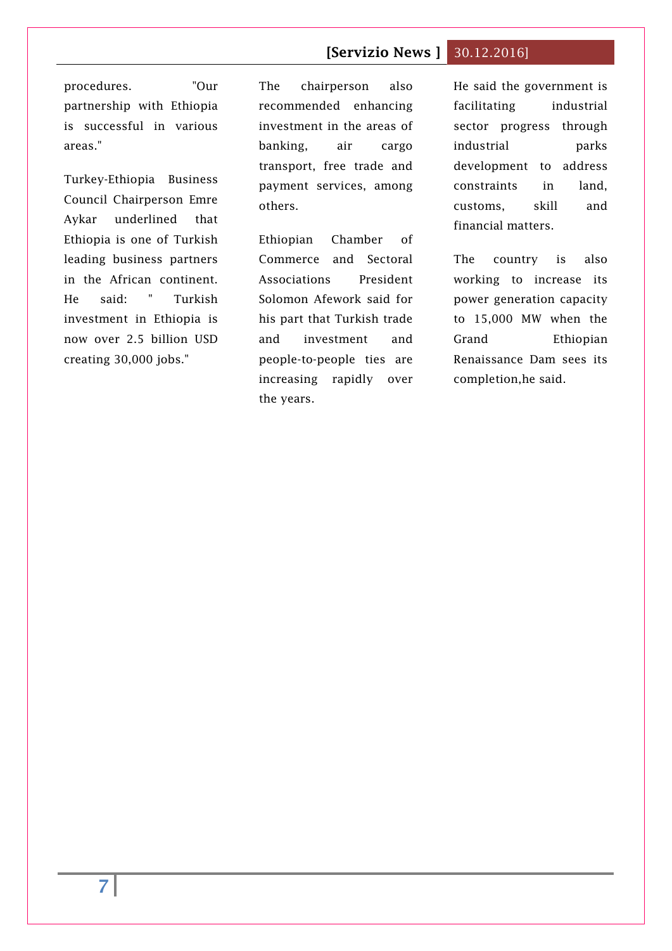procedures. "Our partnership with Ethiopia is successful in various areas."

Turkey-Ethiopia Business Council Chairperson Emre Aykar underlined that Ethiopia is one of Turkish leading business partners in the African continent. He said: " Turkish investment in Ethiopia is now over 2.5 billion USD creating 30,000 jobs."

The chairperson also recommended enhancing investment in the areas of banking, air cargo transport, free trade and payment services, among others.

Ethiopian Chamber of Commerce and Sectoral Associations President Solomon Afework said for his part that Turkish trade and investment and people-to-people ties are increasing rapidly over the years.

He said the government is facilitating industrial sector progress through industrial parks development to address constraints in land, customs, skill and financial matters.

The country is also working to increase its power generation capacity to 15,000 MW when the Grand Ethiopian Renaissance Dam sees its completion,he said.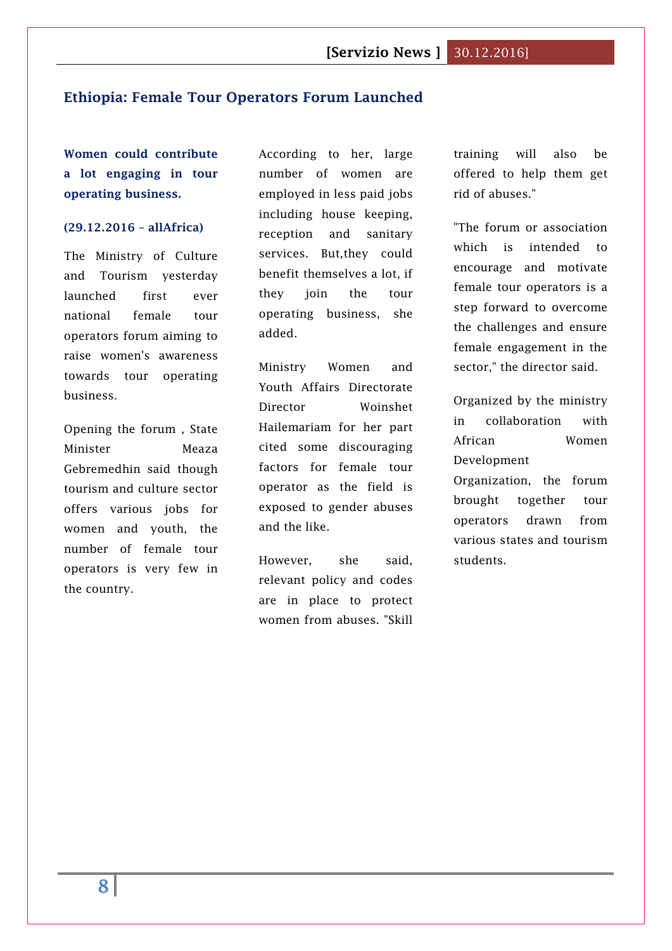# <span id="page-7-0"></span>**Ethiopia: Female Tour Operators Forum Launched**

**Women could contribute a lot engaging in tour operating business.**

### **(29.12.2016 – allAfrica)**

The Ministry of Culture and Tourism yesterday launched first ever national female tour operators forum aiming to raise women's awareness towards tour operating business.

Opening the forum , State Minister Meaza Gebremedhin said though tourism and culture sector offers various jobs for women and youth, the number of female tour operators is very few in the country.

According to her, large number of women are employed in less paid jobs including house keeping, reception and sanitary services. But,they could benefit themselves a lot, if they join the tour operating business, she added.

Ministry Women and Youth Affairs Directorate Director Woinshet Hailemariam for her part cited some discouraging factors for female tour operator as the field is exposed to gender abuses and the like.

However, she said, relevant policy and codes are in place to protect women from abuses. "Skill training will also be offered to help them get rid of abuses."

"The forum or association which is intended to encourage and motivate female tour operators is a step forward to overcome the challenges and ensure female engagement in the sector," the director said.

Organized by the ministry in collaboration with African Women Development Organization, the forum brought together tour operators drawn from various states and tourism students.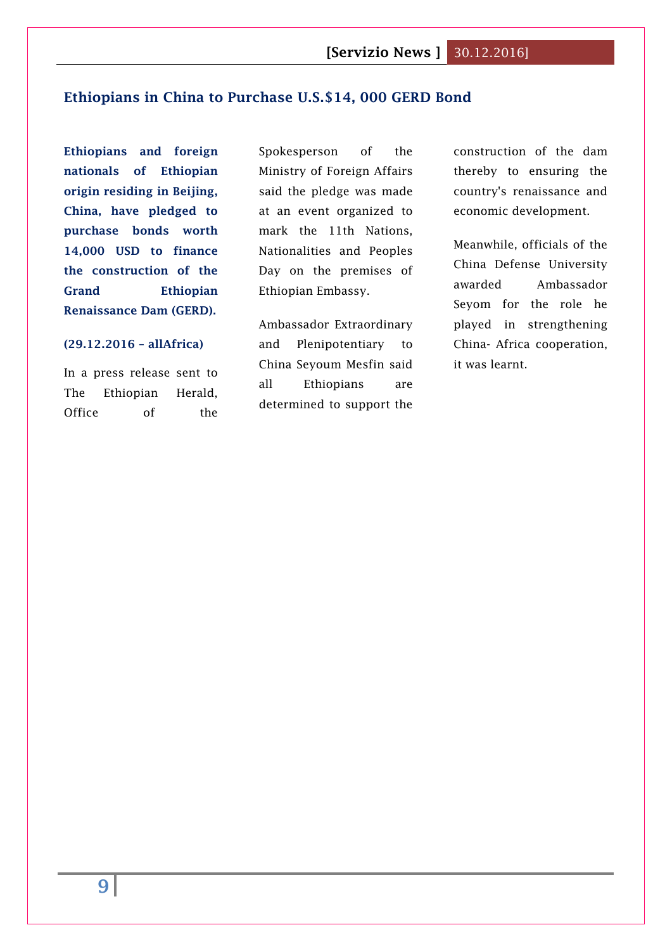# <span id="page-8-0"></span>**Ethiopians in China to Purchase U.S.\$14, 000 GERD Bond**

**Ethiopians and foreign nationals of Ethiopian origin residing in Beijing, China, have pledged to purchase bonds worth 14,000 USD to finance the construction of the Grand Ethiopian Renaissance Dam (GERD).**

#### **(29.12.2016 – allAfrica)**

In a press release sent to The Ethiopian Herald, Office of the

Spokesperson of the Ministry of Foreign Affairs said the pledge was made at an event organized to mark the 11th Nations, Nationalities and Peoples Day on the premises of Ethiopian Embassy.

Ambassador Extraordinary and Plenipotentiary to China Seyoum Mesfin said all Ethiopians are determined to support the

construction of the dam thereby to ensuring the country's renaissance and economic development.

Meanwhile, officials of the China Defense University awarded Ambassador Seyom for the role he played in strengthening China- Africa cooperation, it was learnt.

**9**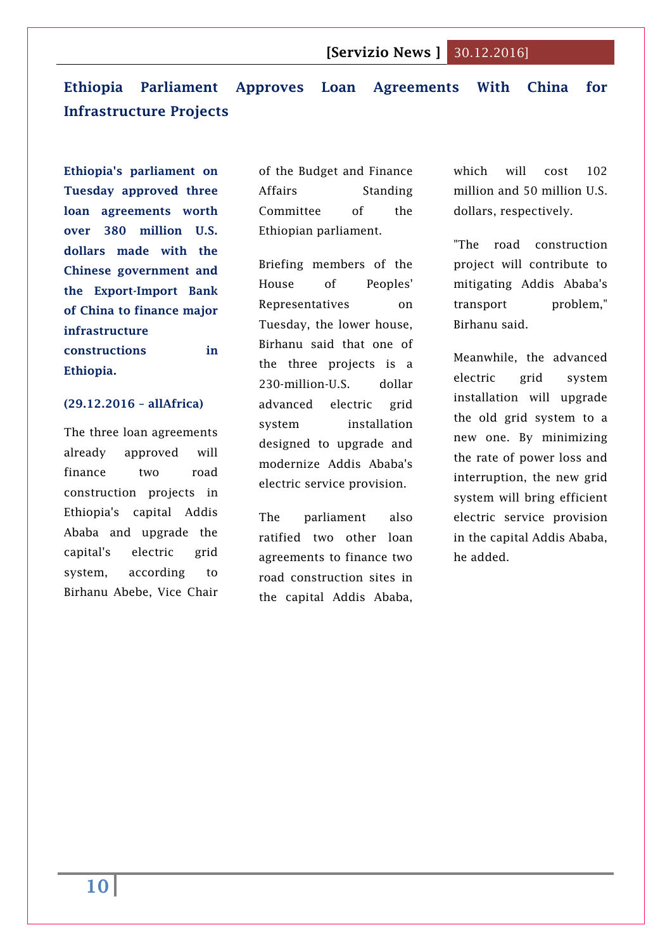# <span id="page-9-0"></span>**Ethiopia Parliament Approves Loan Agreements With China for Infrastructure Projects**

**Ethiopia's parliament on Tuesday approved three loan agreements worth over 380 million U.S. dollars made with the Chinese government and the Export-Import Bank of China to finance major infrastructure constructions in Ethiopia.**

#### **(29.12.2016 – allAfrica)**

The three loan agreements already approved will finance two road construction projects in Ethiopia's capital Addis Ababa and upgrade the capital's electric grid system, according to Birhanu Abebe, Vice Chair

of the Budget and Finance Affairs Standing Committee of the Ethiopian parliament.

Briefing members of the House of Peoples' Representatives on Tuesday, the lower house, Birhanu said that one of the three projects is a 230-million-U.S. dollar advanced electric grid system installation designed to upgrade and modernize Addis Ababa's electric service provision.

The parliament also ratified two other loan agreements to finance two road construction sites in the capital Addis Ababa,

which will cost 102 million and 50 million U.S. dollars, respectively.

"The road construction project will contribute to mitigating Addis Ababa's transport problem," Birhanu said.

Meanwhile, the advanced electric grid system installation will upgrade the old grid system to a new one. By minimizing the rate of power loss and interruption, the new grid system will bring efficient electric service provision in the capital Addis Ababa, he added.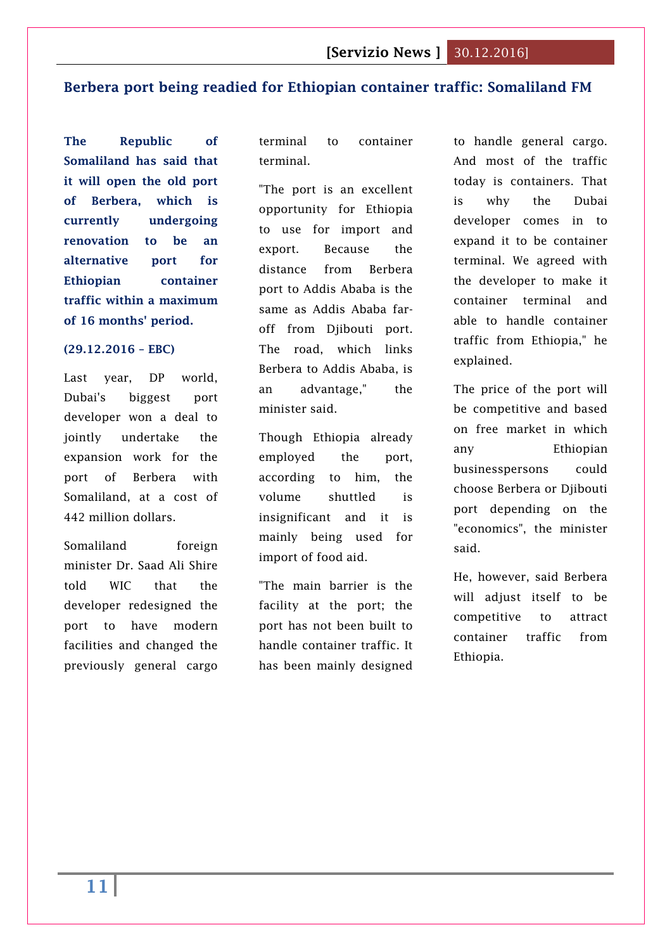### <span id="page-10-0"></span>**Berbera port being readied for Ethiopian container traffic: Somaliland FM**

**The Republic of Somaliland has said that it will open the old port of Berbera, which is currently undergoing renovation to be an alternative port for Ethiopian container traffic within a maximum of 16 months' period.**

#### **(29.12.2016 – EBC)**

Last year, DP world, Dubai's biggest port developer won a deal to jointly undertake the expansion work for the port of Berbera with Somaliland, at a cost of 442 million dollars.

Somaliland foreign minister Dr. Saad Ali Shire told WIC that the developer redesigned the port to have modern facilities and changed the previously general cargo terminal to container terminal.

"The port is an excellent opportunity for Ethiopia to use for import and export. Because the distance from Berbera port to Addis Ababa is the same as Addis Ababa faroff from Djibouti port. The road, which links Berbera to Addis Ababa, is an advantage," the minister said.

Though Ethiopia already employed the port, according to him, the volume shuttled is insignificant and it is mainly being used for import of food aid.

"The main barrier is the facility at the port; the port has not been built to handle container traffic. It has been mainly designed to handle general cargo. And most of the traffic today is containers. That is why the Dubai developer comes in to expand it to be container terminal. We agreed with the developer to make it container terminal and able to handle container traffic from Ethiopia," he explained.

The price of the port will be competitive and based on free market in which any Ethiopian businesspersons could choose Berbera or Djibouti port depending on the "economics", the minister said.

He, however, said Berbera will adjust itself to be competitive to attract container traffic from Ethiopia.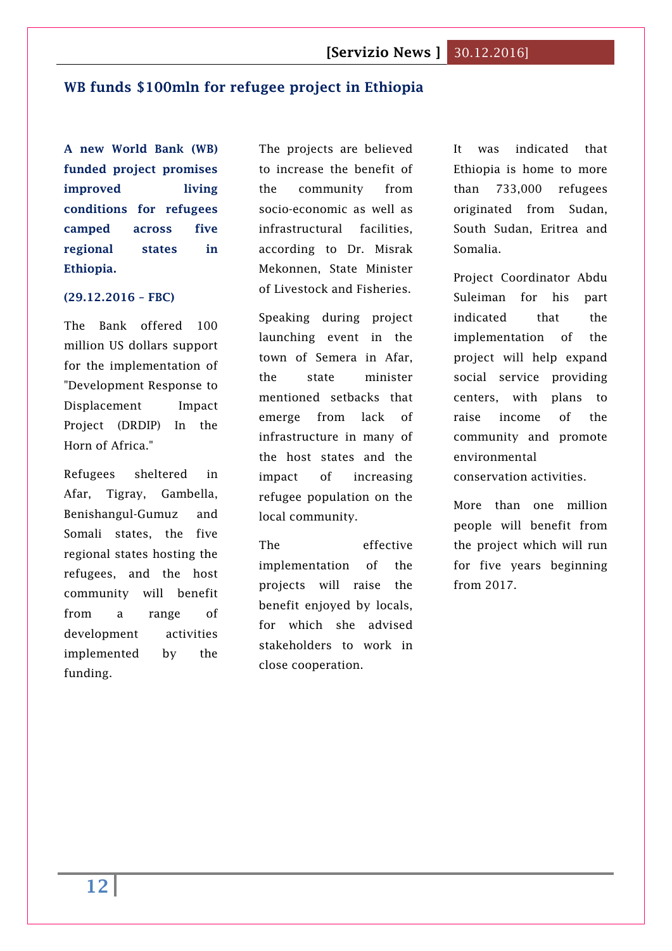# <span id="page-11-0"></span>**WB funds \$100mln for refugee project in Ethiopia**

**A new World Bank (WB) funded project promises improved living conditions for refugees camped across five regional states in Ethiopia.**

#### **(29.12.2016 – FBC)**

The Bank offered 100 million US dollars support for the implementation of "Development Response to Displacement Impact Project (DRDIP) In the Horn of Africa."

Refugees sheltered in Afar, Tigray, Gambella, Benishangul-Gumuz and Somali states, the five regional states hosting the refugees, and the host community will benefit from a range of development activities implemented by the funding.

The projects are believed to increase the benefit of the community from socio-economic as well as infrastructural facilities, according to Dr. Misrak Mekonnen, State Minister of Livestock and Fisheries.

Speaking during project launching event in the town of Semera in Afar, the state minister mentioned setbacks that emerge from lack of infrastructure in many of the host states and the impact of increasing refugee population on the local community.

The effective implementation of the projects will raise the benefit enjoyed by locals, for which she advised stakeholders to work in close cooperation.

It was indicated that Ethiopia is home to more than 733,000 refugees originated from Sudan, South Sudan, Eritrea and Somalia.

Project Coordinator Abdu Suleiman for his part indicated that the implementation of the project will help expand social service providing centers, with plans to raise income of the community and promote environmental conservation activities.

More than one million people will benefit from the project which will run for five years beginning from 2017.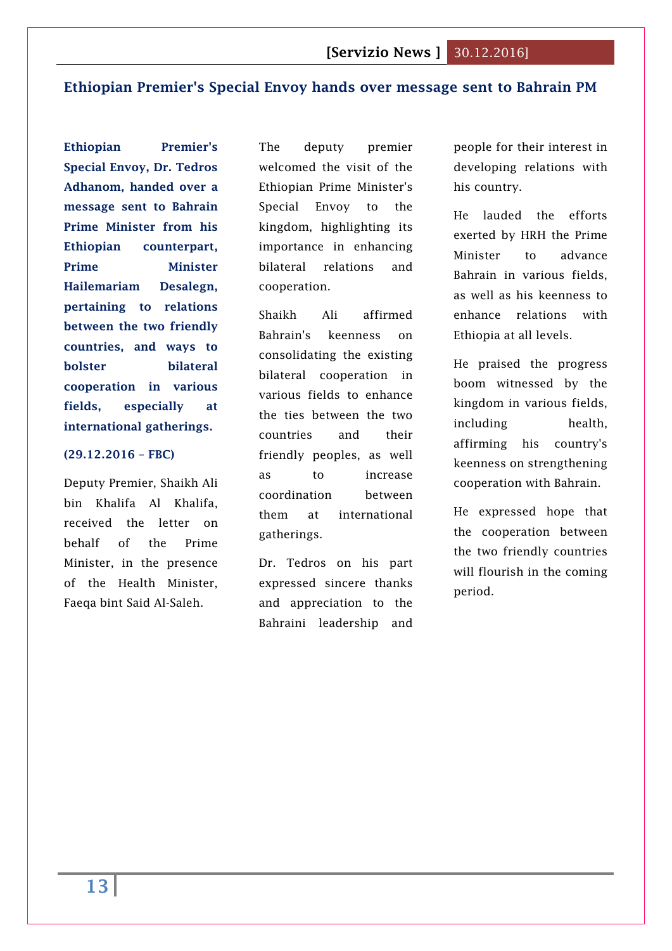# <span id="page-12-0"></span>**Ethiopian Premier's Special Envoy hands over message sent to Bahrain PM**

**Ethiopian Premier's Special Envoy, Dr. Tedros Adhanom, handed over a message sent to Bahrain Prime Minister from his Ethiopian counterpart, Prime Minister Hailemariam Desalegn, pertaining to relations between the two friendly countries, and ways to bolster bilateral cooperation in various fields, especially at international gatherings.**

### **(29.12.2016 – FBC)**

Deputy Premier, Shaikh Ali bin Khalifa Al Khalifa, received the letter on behalf of the Prime Minister, in the presence of the Health Minister, Faeqa bint Said Al-Saleh.

The deputy premier welcomed the visit of the Ethiopian Prime Minister's Special Envoy to the kingdom, highlighting its importance in enhancing bilateral relations and cooperation.

Shaikh Ali affirmed Bahrain's keenness on consolidating the existing bilateral cooperation in various fields to enhance the ties between the two countries and their friendly peoples, as well as to increase coordination between them at international gatherings.

Dr. Tedros on his part expressed sincere thanks and appreciation to the Bahraini leadership and

people for their interest in developing relations with his country.

He lauded the efforts exerted by HRH the Prime Minister to advance Bahrain in various fields, as well as his keenness to enhance relations with Ethiopia at all levels.

He praised the progress boom witnessed by the kingdom in various fields, including health, affirming his country's keenness on strengthening cooperation with Bahrain.

He expressed hope that the cooperation between the two friendly countries will flourish in the coming period.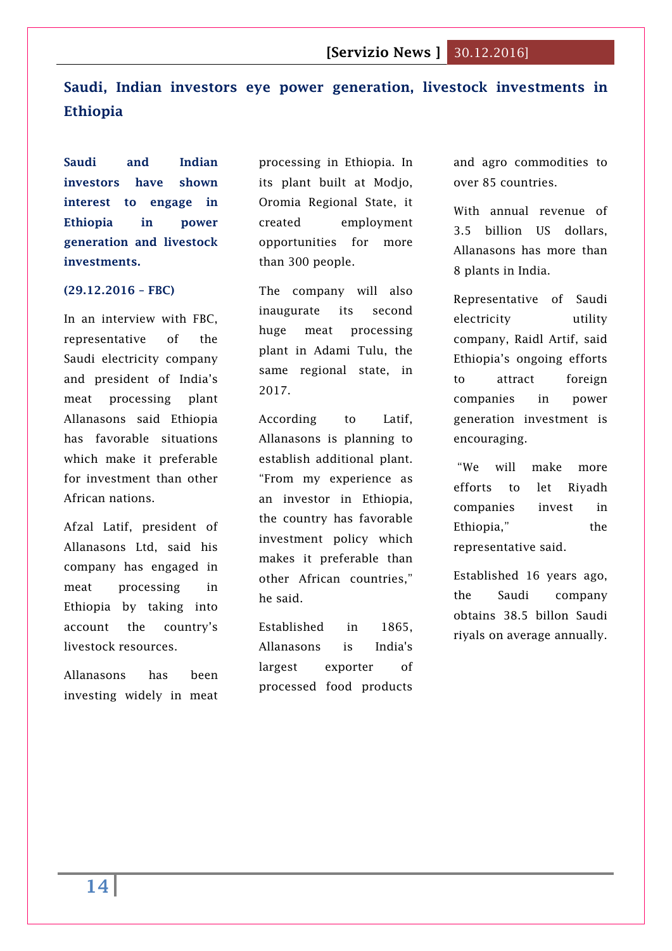# <span id="page-13-0"></span>**Saudi, Indian investors eye power generation, livestock investments in Ethiopia**

**Saudi and Indian investors have shown interest to engage in Ethiopia in power generation and livestock investments.**

#### **(29.12.2016 – FBC)**

In an interview with FBC, representative of the Saudi electricity company and president of India's meat processing plant Allanasons said Ethiopia has favorable situations which make it preferable for investment than other African nations.

Afzal Latif, president of Allanasons Ltd, said his company has engaged in meat processing in Ethiopia by taking into account the country's livestock resources.

Allanasons has been investing widely in meat processing in Ethiopia. In its plant built at Modjo, Oromia Regional State, it created employment opportunities for more than 300 people.

The company will also inaugurate its second huge meat processing plant in Adami Tulu, the same regional state, in 2017.

According to Latif, Allanasons is planning to establish additional plant. "From my experience as an investor in Ethiopia, the country has favorable investment policy which makes it preferable than other African countries," he said.

Established in 1865, Allanasons is India's largest exporter of processed food products and agro commodities to over 85 countries.

With annual revenue of 3.5 billion US dollars, Allanasons has more than 8 plants in India.

Representative of Saudi electricity utility company, Raidl Artif, said Ethiopia's ongoing efforts to attract foreign companies in power generation investment is encouraging.

"We will make more efforts to let Riyadh companies invest in Ethiopia," the representative said.

Established 16 years ago, the Saudi company obtains 38.5 billon Saudi riyals on average annually.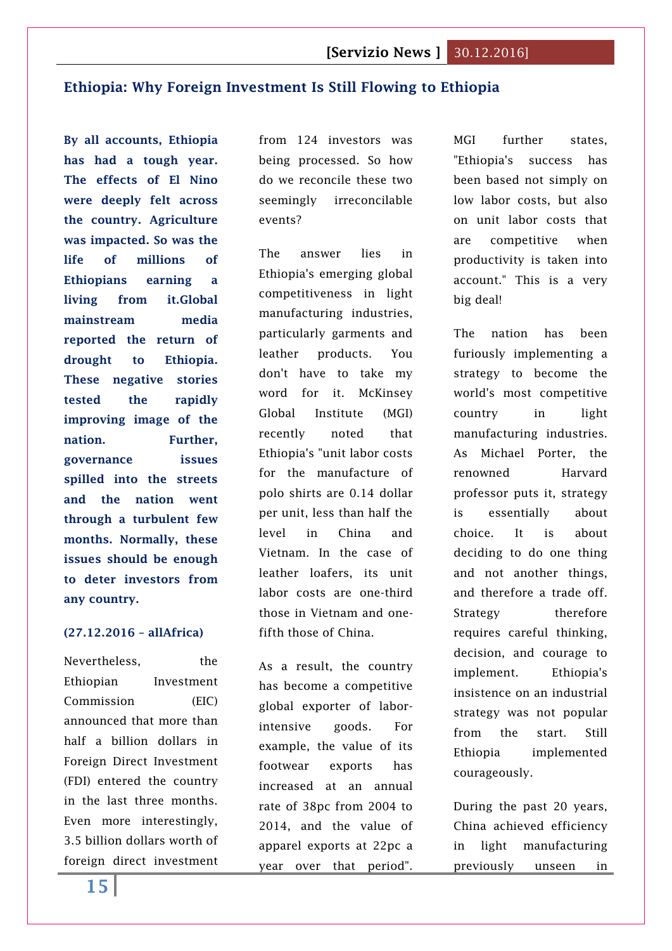# <span id="page-14-0"></span>**Ethiopia: Why Foreign Investment Is Still Flowing to Ethiopia**

**By all accounts, Ethiopia has had a tough year. The effects of El Nino were deeply felt across the country. Agriculture was impacted. So was the life of millions of Ethiopians earning a living from it.Global mainstream media reported the return of drought to Ethiopia. These negative stories tested the rapidly improving image of the nation. Further, governance issues spilled into the streets and the nation went through a turbulent few months. Normally, these issues should be enough to deter investors from any country.**

#### **(27.12.2016 – allAfrica)**

Nevertheless, the Ethiopian Investment Commission (EIC) announced that more than half a billion dollars in Foreign Direct Investment (FDI) entered the country in the last three months. Even more interestingly, 3.5 billion dollars worth of foreign direct investment from 124 investors was being processed. So how do we reconcile these two seemingly irreconcilable events?

The answer lies in Ethiopia's emerging global competitiveness in light manufacturing industries, particularly garments and leather products. You don't have to take my word for it. McKinsey Global Institute (MGI) recently noted that Ethiopia's "unit labor costs for the manufacture of polo shirts are 0.14 dollar per unit, less than half the level in China and Vietnam. In the case of leather loafers, its unit labor costs are one-third those in Vietnam and onefifth those of China.

As a result, the country has become a competitive global exporter of laborintensive goods. For example, the value of its footwear exports has increased at an annual rate of 38pc from 2004 to 2014, and the value of apparel exports at 22pc a year over that period". MGI further states, "Ethiopia's success has been based not simply on low labor costs, but also on unit labor costs that are competitive when productivity is taken into account." This is a very big deal!

The nation has been furiously implementing a strategy to become the world's most competitive country in light manufacturing industries. As Michael Porter, the renowned Harvard professor puts it, strategy is essentially about choice. It is about deciding to do one thing and not another things, and therefore a trade off. Strategy therefore requires careful thinking, decision, and courage to implement. Ethiopia's insistence on an industrial strategy was not popular from the start. Still Ethiopia implemented courageously.

During the past 20 years, China achieved efficiency in light manufacturing previously unseen in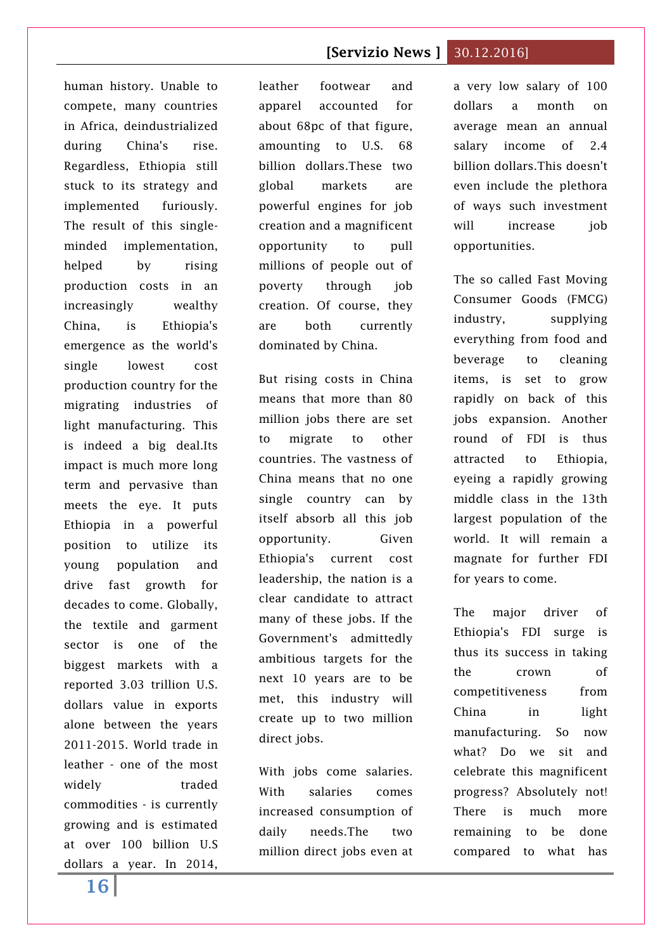human history. Unable to compete, many countries in Africa, deindustrialized during China's rise. Regardless, Ethiopia still stuck to its strategy and implemented furiously. The result of this singleminded implementation, helped by rising production costs in an increasingly wealthy China, is Ethiopia's emergence as the world's single lowest cost production country for the migrating industries of light manufacturing. This is indeed a big deal.Its impact is much more long term and pervasive than meets the eye. It puts Ethiopia in a powerful position to utilize its young population and drive fast growth for decades to come. Globally, the textile and garment sector is one of the biggest markets with a reported 3.03 trillion U.S. dollars value in exports alone between the years 2011-2015. World trade in leather - one of the most widely traded commodities - is currently growing and is estimated at over 100 billion U.S dollars a year. In 2014,

leather footwear and apparel accounted for about 68pc of that figure, amounting to U.S. 68 billion dollars.These two global markets are powerful engines for job creation and a magnificent opportunity to pull millions of people out of poverty through job creation. Of course, they are both currently dominated by China.

But rising costs in China means that more than 80 million jobs there are set to migrate to other countries. The vastness of China means that no one single country can by itself absorb all this job opportunity. Given Ethiopia's current cost leadership, the nation is a clear candidate to attract many of these jobs. If the Government's admittedly ambitious targets for the next 10 years are to be met, this industry will create up to two million direct jobs.

With jobs come salaries. With salaries comes increased consumption of daily needs.The two million direct jobs even at a very low salary of 100 dollars a month on average mean an annual salary income of 2.4 billion dollars.This doesn't even include the plethora of ways such investment will increase iob opportunities.

The so called Fast Moving Consumer Goods (FMCG) industry, supplying everything from food and beverage to cleaning items, is set to grow rapidly on back of this jobs expansion. Another round of FDI is thus attracted to Ethiopia, eyeing a rapidly growing middle class in the 13th largest population of the world. It will remain a magnate for further FDI for years to come.

The major driver of Ethiopia's FDI surge is thus its success in taking the crown of competitiveness from China in light manufacturing. So now what? Do we sit and celebrate this magnificent progress? Absolutely not! There is much more remaining to be done compared to what has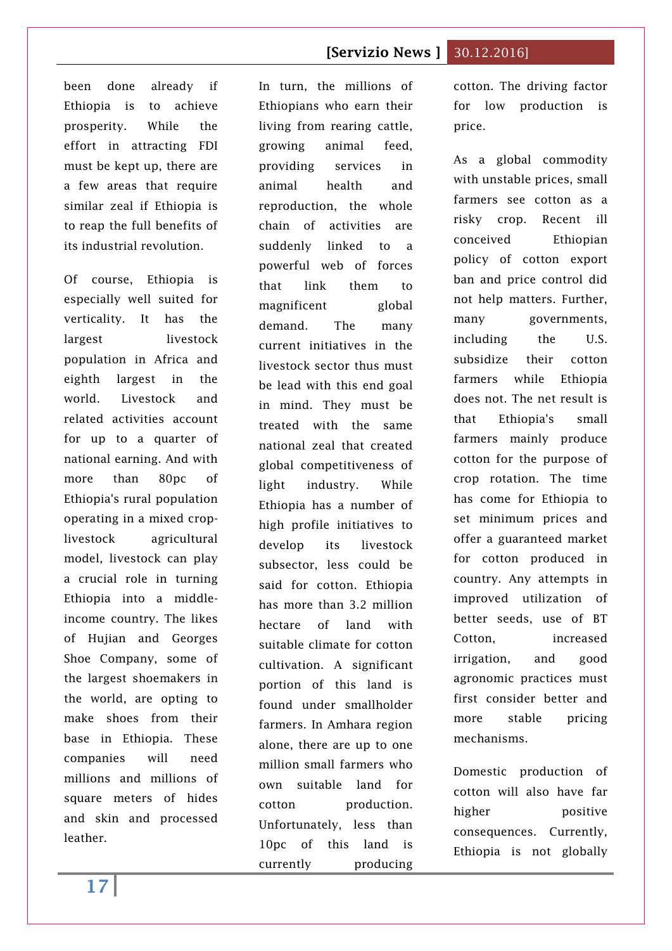been done already if Ethiopia is to achieve prosperity. While the effort in attracting FDI must be kept up, there are a few areas that require similar zeal if Ethiopia is to reap the full benefits of its industrial revolution.

Of course, Ethiopia is especially well suited for verticality. It has the largest livestock population in Africa and eighth largest in the world. Livestock and related activities account for up to a quarter of national earning. And with more than 80pc of Ethiopia's rural population operating in a mixed croplivestock agricultural model, livestock can play a crucial role in turning Ethiopia into a middleincome country. The likes of Hujian and Georges Shoe Company, some of the largest shoemakers in the world, are opting to make shoes from their base in Ethiopia. These companies will need millions and millions of square meters of hides and skin and processed leather.

In turn, the millions of Ethiopians who earn their living from rearing cattle, growing animal feed, providing services in animal health and reproduction, the whole chain of activities are suddenly linked to a powerful web of forces that link them to magnificent global demand. The many current initiatives in the livestock sector thus must be lead with this end goal in mind. They must be treated with the same national zeal that created global competitiveness of light industry. While Ethiopia has a number of high profile initiatives to develop its livestock subsector, less could be said for cotton. Ethiopia has more than 3.2 million hectare of land with suitable climate for cotton cultivation. A significant portion of this land is found under smallholder farmers. In Amhara region alone, there are up to one million small farmers who own suitable land for cotton production. Unfortunately, less than 10pc of this land is currently producing cotton. The driving factor for low production is price.

As a global commodity with unstable prices, small farmers see cotton as a risky crop. Recent ill conceived Ethiopian policy of cotton export ban and price control did not help matters. Further, many governments, including the U.S. subsidize their cotton farmers while Ethiopia does not. The net result is that Ethiopia's small farmers mainly produce cotton for the purpose of crop rotation. The time has come for Ethiopia to set minimum prices and offer a guaranteed market for cotton produced in country. Any attempts in improved utilization of better seeds, use of BT Cotton, increased irrigation, and good agronomic practices must first consider better and more stable pricing mechanisms.

Domestic production of cotton will also have far higher positive consequences. Currently, Ethiopia is not globally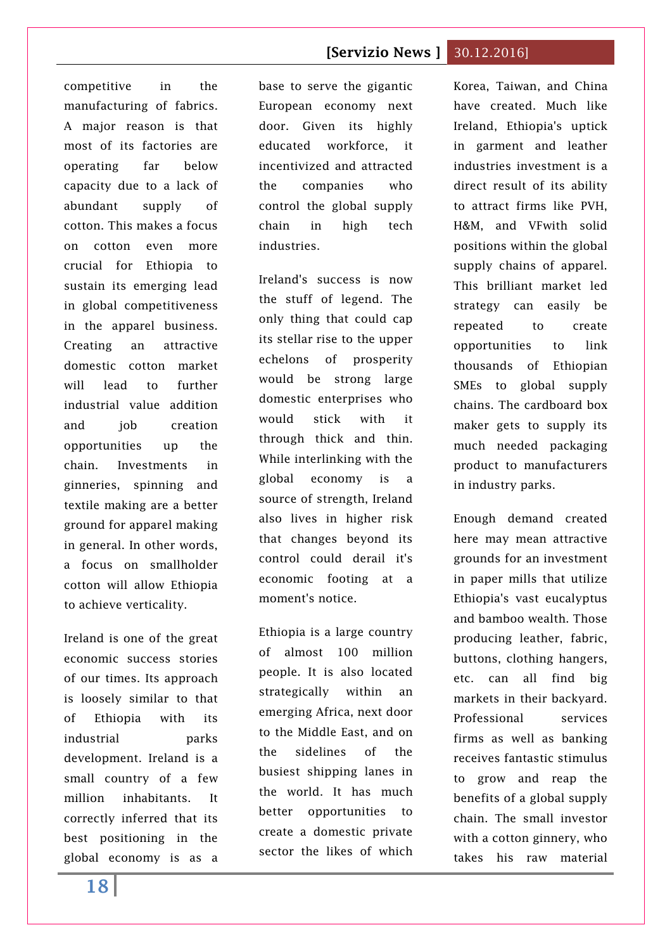competitive in the manufacturing of fabrics. A major reason is that most of its factories are operating far below capacity due to a lack of abundant supply of cotton. This makes a focus on cotton even more crucial for Ethiopia to sustain its emerging lead in global competitiveness in the apparel business. Creating an attractive domestic cotton market will lead to further industrial value addition and iob creation opportunities up the chain. Investments in ginneries, spinning and textile making are a better ground for apparel making in general. In other words, a focus on smallholder cotton will allow Ethiopia to achieve verticality.

Ireland is one of the great economic success stories of our times. Its approach is loosely similar to that of Ethiopia with its industrial parks development. Ireland is a small country of a few million inhabitants. It correctly inferred that its best positioning in the global economy is as a base to serve the gigantic European economy next door. Given its highly educated workforce, it incentivized and attracted the companies who control the global supply chain in high tech industries.

Ireland's success is now the stuff of legend. The only thing that could cap its stellar rise to the upper echelons of prosperity would be strong large domestic enterprises who would stick with it through thick and thin. While interlinking with the global economy is a source of strength, Ireland also lives in higher risk that changes beyond its control could derail it's economic footing at a moment's notice.

Ethiopia is a large country of almost 100 million people. It is also located strategically within an emerging Africa, next door to the Middle East, and on the sidelines of the busiest shipping lanes in the world. It has much better opportunities to create a domestic private sector the likes of which Korea, Taiwan, and China have created. Much like Ireland, Ethiopia's uptick in garment and leather industries investment is a direct result of its ability to attract firms like PVH, H&M, and VFwith solid positions within the global supply chains of apparel. This brilliant market led strategy can easily be repeated to create opportunities to link thousands of Ethiopian SMEs to global supply chains. The cardboard box maker gets to supply its much needed packaging product to manufacturers in industry parks.

Enough demand created here may mean attractive grounds for an investment in paper mills that utilize Ethiopia's vast eucalyptus and bamboo wealth. Those producing leather, fabric, buttons, clothing hangers, etc. can all find big markets in their backyard. Professional services firms as well as banking receives fantastic stimulus to grow and reap the benefits of a global supply chain. The small investor with a cotton ginnery, who takes his raw material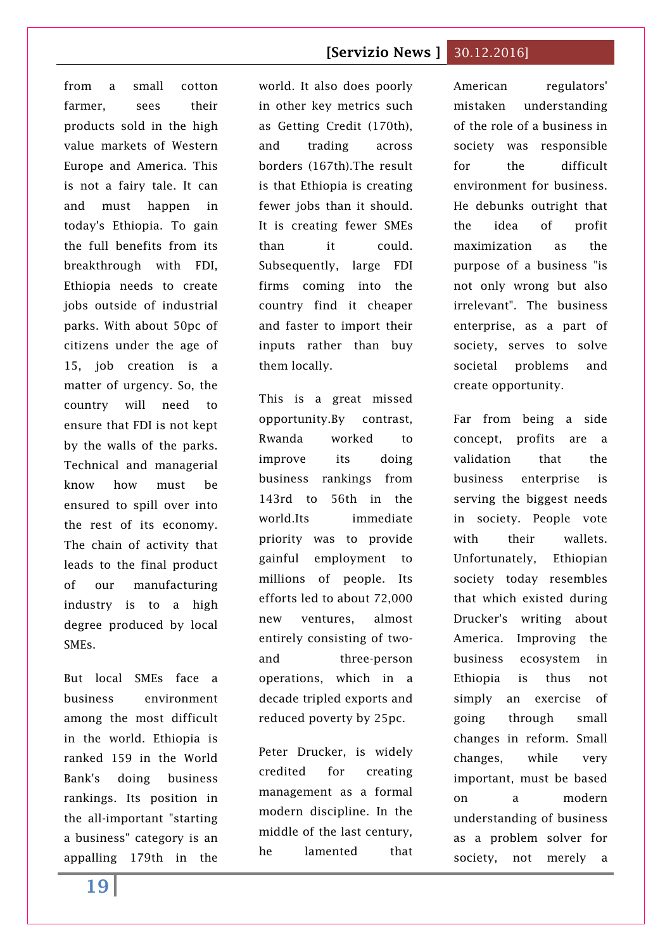from a small cotton farmer, sees their products sold in the high value markets of Western Europe and America. This is not a fairy tale. It can and must happen in today's Ethiopia. To gain the full benefits from its breakthrough with FDI, Ethiopia needs to create jobs outside of industrial parks. With about 50pc of citizens under the age of 15, job creation is a matter of urgency. So, the country will need to ensure that FDI is not kept by the walls of the parks. Technical and managerial know how must be ensured to spill over into the rest of its economy. The chain of activity that leads to the final product of our manufacturing industry is to a high degree produced by local SMEs.

But local SMEs face a business environment among the most difficult in the world. Ethiopia is ranked 159 in the World Bank's doing business rankings. Its position in the all-important "starting a business" category is an appalling 179th in the

world. It also does poorly in other key metrics such as Getting Credit (170th), and trading across borders (167th).The result is that Ethiopia is creating fewer jobs than it should. It is creating fewer SMEs than it could. Subsequently, large FDI firms coming into the country find it cheaper and faster to import their inputs rather than buy them locally.

This is a great missed opportunity.By contrast, Rwanda worked to improve its doing business rankings from 143rd to 56th in the world.Its immediate priority was to provide gainful employment to millions of people. Its efforts led to about 72,000 new ventures, almost entirely consisting of twoand three-person operations, which in a decade tripled exports and reduced poverty by 25pc.

Peter Drucker, is widely credited for creating management as a formal modern discipline. In the middle of the last century, he lamented that

American regulators' mistaken understanding of the role of a business in society was responsible for the difficult environment for business. He debunks outright that the idea of profit maximization as the purpose of a business "is not only wrong but also irrelevant". The business enterprise, as a part of society, serves to solve societal problems and create opportunity.

Far from being a side concept, profits are a validation that the business enterprise is serving the biggest needs in society. People vote with their wallets. Unfortunately, Ethiopian society today resembles that which existed during Drucker's writing about America. Improving the business ecosystem in Ethiopia is thus not simply an exercise of going through small changes in reform. Small changes, while very important, must be based on a modern understanding of business as a problem solver for society, not merely a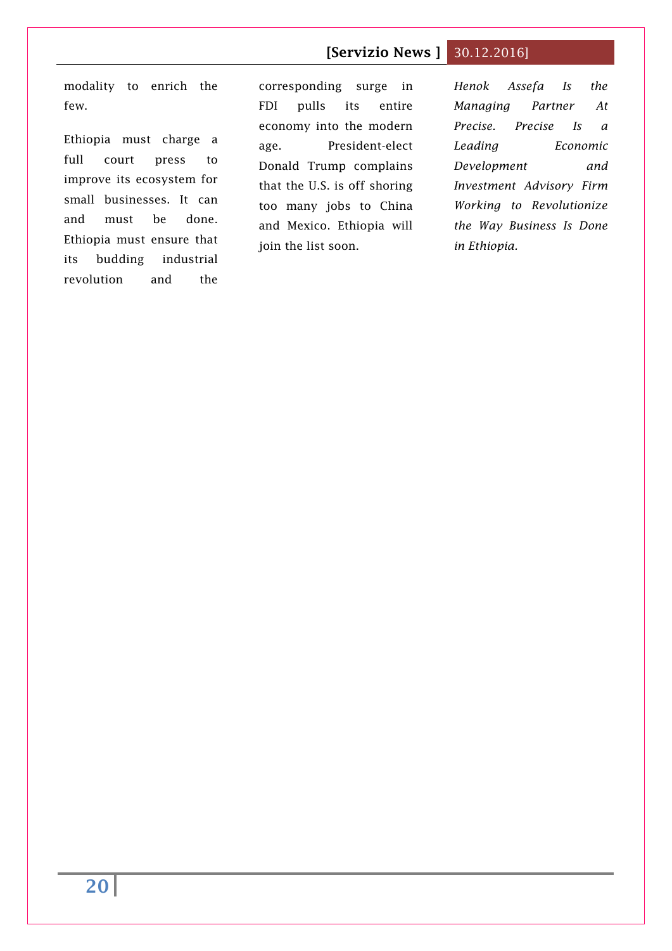modality to enrich the few.

Ethiopia must charge a full court press to improve its ecosystem for small businesses. It can and must be done. Ethiopia must ensure that its budding industrial revolution and the

corresponding surge in FDI pulls its entire economy into the modern age. President-elect Donald Trump complains that the U.S. is off shoring too many jobs to China and Mexico. Ethiopia will join the list soon.

*Henok Assefa Is the Managing Partner At Precise. Precise Is a Leading Economic Development and Investment Advisory Firm Working to Revolutionize the Way Business Is Done in Ethiopia.*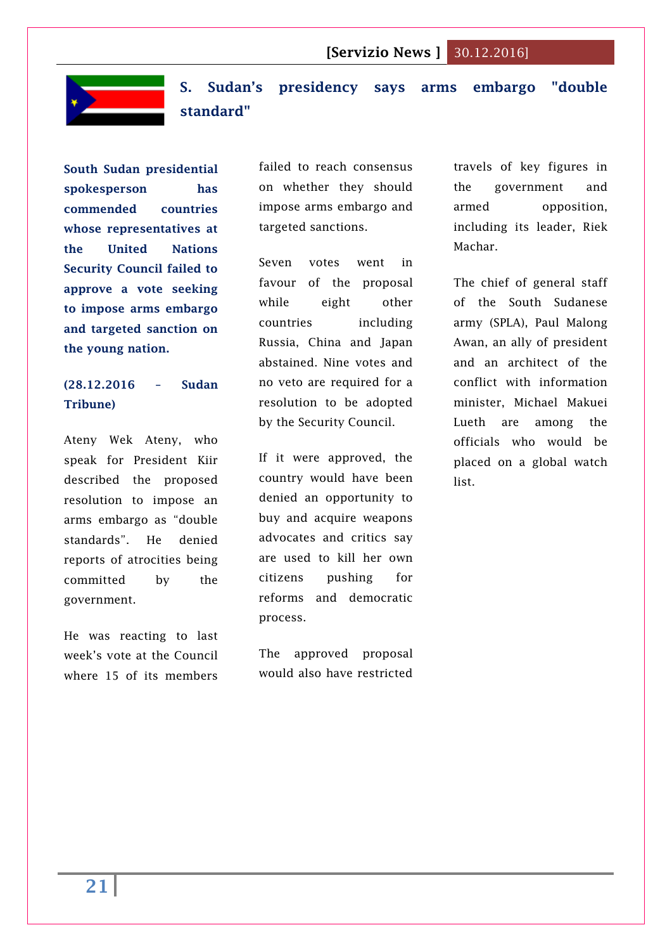

<span id="page-20-0"></span>**S. Sudan's presidency says arms embargo "double standard"**

**South Sudan presidential spokesperson has commended countries whose representatives at the United Nations Security Council failed to approve a vote seeking to impose arms embargo and targeted sanction on the young nation.**

# **(28.12.2016 – Sudan Tribune)**

Ateny Wek Ateny, who speak for President Kiir described the proposed resolution to impose an arms embargo as "double standards". He denied reports of atrocities being committed by the government.

He was reacting to last week's vote at the Council where 15 of its members

failed to reach consensus on whether they should impose arms embargo and targeted sanctions.

Seven votes went in favour of the proposal while eight other countries including Russia, China and Japan abstained. Nine votes and no veto are required for a resolution to be adopted by the Security Council.

If it were approved, the country would have been denied an opportunity to buy and acquire weapons advocates and critics say are used to kill her own citizens pushing for reforms and democratic process.

The approved proposal would also have restricted travels of key figures in the government and armed opposition, including its leader, Riek Machar.

The chief of general staff of the South Sudanese army (SPLA), Paul Malong Awan, an ally of president and an architect of the conflict with information minister, Michael Makuei Lueth are among the officials who would be placed on a global watch list.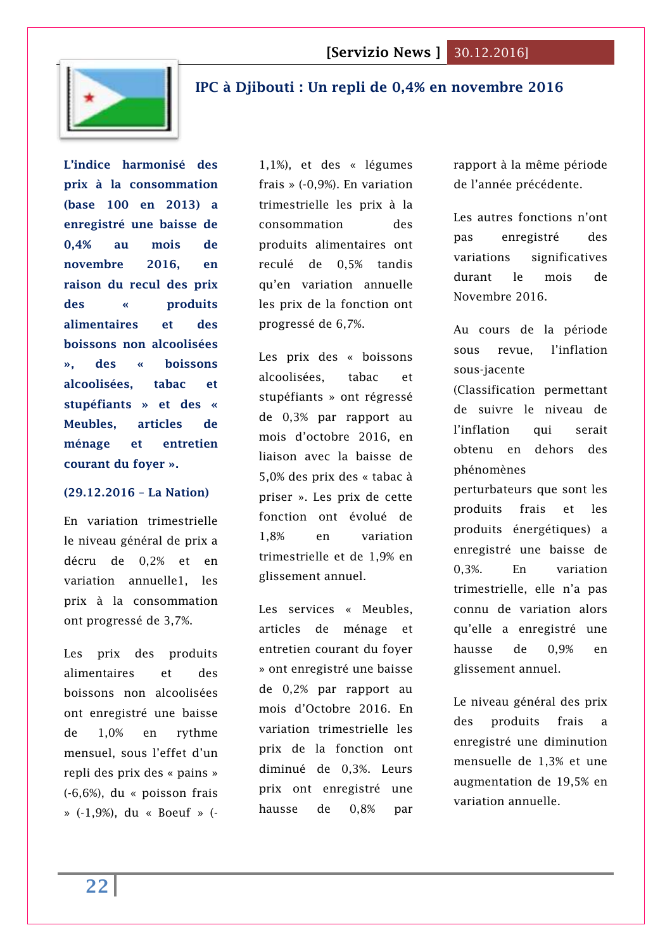

# <span id="page-21-0"></span>**[IPC à Djibouti : Un repli de 0,4% en novembre 2016](http://www.lanationdj.com/ipc-a-djibouti-repli-de-04-novembre-2016/)**

**L'indice harmonisé des prix à la consommation (base 100 en 2013) a enregistré une baisse de 0,4% au mois de novembre 2016, en raison du recul des prix des « produits alimentaires et des boissons non alcoolisées », des « boissons alcoolisées, tabac et stupéfiants » et des « Meubles, articles de ménage et entretien courant du foyer ».** 

#### **(29.12.2016 – La Nation)**

En variation trimestrielle le niveau général de prix a décru de 0,2% et en variation annuelle1, les prix à la consommation ont progressé de 3,7%.

Les prix des produits alimentaires et des boissons non alcoolisées ont enregistré une baisse de 1,0% en rythme mensuel, sous l'effet d'un repli des prix des « pains » (-6,6%), du « poisson frais » (-1,9%), du « Boeuf » (-

1,1%), et des « légumes frais » (-0,9%). En variation trimestrielle les prix à la consommation des produits alimentaires ont reculé de 0,5% tandis qu'en variation annuelle les prix de la fonction ont progressé de 6,7%.

Les prix des « boissons alcoolisées, tabac et stupéfiants » ont régressé de 0,3% par rapport au mois d'octobre 2016, en liaison avec la baisse de 5,0% des prix des « tabac à priser ». Les prix de cette fonction ont évolué de 1,8% en variation trimestrielle et de 1,9% en glissement annuel.

Les services « Meubles, articles de ménage et entretien courant du foyer » ont enregistré une baisse de 0,2% par rapport au mois d'Octobre 2016. En variation trimestrielle les prix de la fonction ont diminué de 0,3%. Leurs prix ont enregistré une hausse de 0,8% par

rapport à la même période de l'année précédente.

Les autres fonctions n'ont pas enregistré des variations significatives durant le mois de Novembre 2016.

Au cours de la période sous revue, l'inflation sous-jacente (Classification permettant de suivre le niveau de l'inflation qui serait obtenu en dehors des phénomènes perturbateurs que sont les produits frais et les produits énergétiques) a enregistré une baisse de 0,3%. En variation trimestrielle, elle n'a pas connu de variation alors

qu'elle a enregistré une hausse de 0,9% en glissement annuel.

Le niveau général des prix des produits frais a enregistré une diminution mensuelle de 1,3% et une augmentation de 19,5% en variation annuelle.